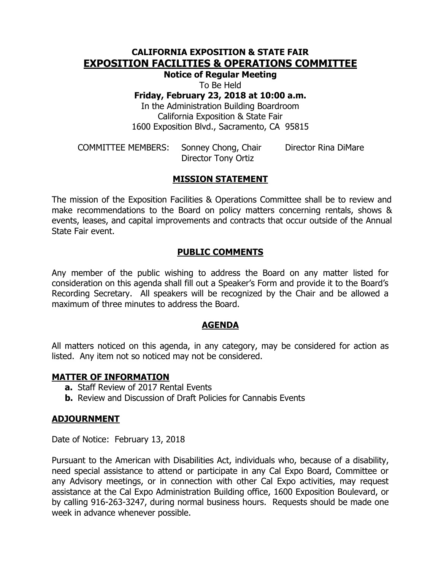## **CALIFORNIA EXPOSITION & STATE FAIR EXPOSITION FACILITIES & OPERATIONS COMMITTEE**

**Notice of Regular Meeting**

To Be Held

**Friday, February 23, 2018 at 10:00 a.m.**

In the Administration Building Boardroom California Exposition & State Fair 1600 Exposition Blvd., Sacramento, CA 95815

COMMITTEE MEMBERS: Sonney Chong, Chair Director Rina DiMare Director Tony Ortiz

## **MISSION STATEMENT**

The mission of the Exposition Facilities & Operations Committee shall be to review and make recommendations to the Board on policy matters concerning rentals, shows & events, leases, and capital improvements and contracts that occur outside of the Annual State Fair event.

### **PUBLIC COMMENTS**

Any member of the public wishing to address the Board on any matter listed for consideration on this agenda shall fill out a Speaker's Form and provide it to the Board's Recording Secretary. All speakers will be recognized by the Chair and be allowed a maximum of three minutes to address the Board.

### **AGENDA**

All matters noticed on this agenda, in any category, may be considered for action as listed. Any item not so noticed may not be considered.

### **MATTER OF INFORMATION**

- **a.** Staff Review of 2017 Rental Events
- **b.** Review and Discussion of Draft Policies for Cannabis Events

### **ADJOURNMENT**

Date of Notice: February 13, 2018

Pursuant to the American with Disabilities Act, individuals who, because of a disability, need special assistance to attend or participate in any Cal Expo Board, Committee or any Advisory meetings, or in connection with other Cal Expo activities, may request assistance at the Cal Expo Administration Building office, 1600 Exposition Boulevard, or by calling 916-263-3247, during normal business hours. Requests should be made one week in advance whenever possible.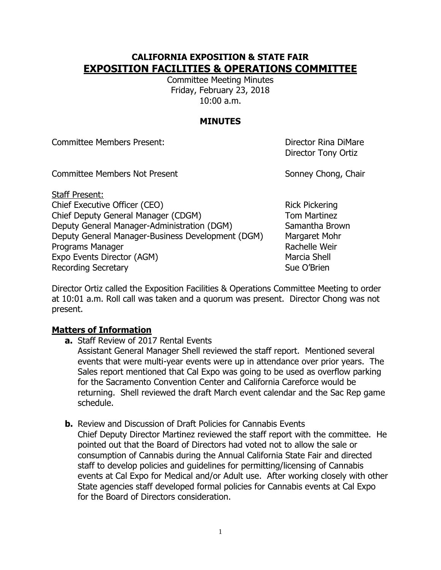## **CALIFORNIA EXPOSITION & STATE FAIR EXPOSITION FACILITIES & OPERATIONS COMMITTEE**

Committee Meeting Minutes Friday, February 23, 2018 10:00 a.m.

## **MINUTES**

Committee Members Present: Director Rina DiMare

Director Tony Ortiz

Committee Members Not Present Sonney Chong, Chair

Staff Present: Chief Executive Officer (CEO) Rick Pickering Chief Deputy General Manager (CDGM) Tom Martinez Deputy General Manager-Administration (DGM) Samantha Brown Deputy General Manager-Business Development (DGM) Margaret Mohr Programs Manager **Rachelle Weir** Rachelle Weir Expo Events Director (AGM) Marcia Shell Recording Secretary **Sue O'Brien** Sue O'Brien

Director Ortiz called the Exposition Facilities & Operations Committee Meeting to order at 10:01 a.m. Roll call was taken and a quorum was present. Director Chong was not present.

# **Matters of Information**

**a.** Staff Review of 2017 Rental Events

Assistant General Manager Shell reviewed the staff report. Mentioned several events that were multi-year events were up in attendance over prior years. The Sales report mentioned that Cal Expo was going to be used as overflow parking for the Sacramento Convention Center and California Careforce would be returning. Shell reviewed the draft March event calendar and the Sac Rep game schedule.

**b.** Review and Discussion of Draft Policies for Cannabis Events Chief Deputy Director Martinez reviewed the staff report with the committee. He pointed out that the Board of Directors had voted not to allow the sale or consumption of Cannabis during the Annual California State Fair and directed staff to develop policies and guidelines for permitting/licensing of Cannabis events at Cal Expo for Medical and/or Adult use. After working closely with other State agencies staff developed formal policies for Cannabis events at Cal Expo for the Board of Directors consideration.